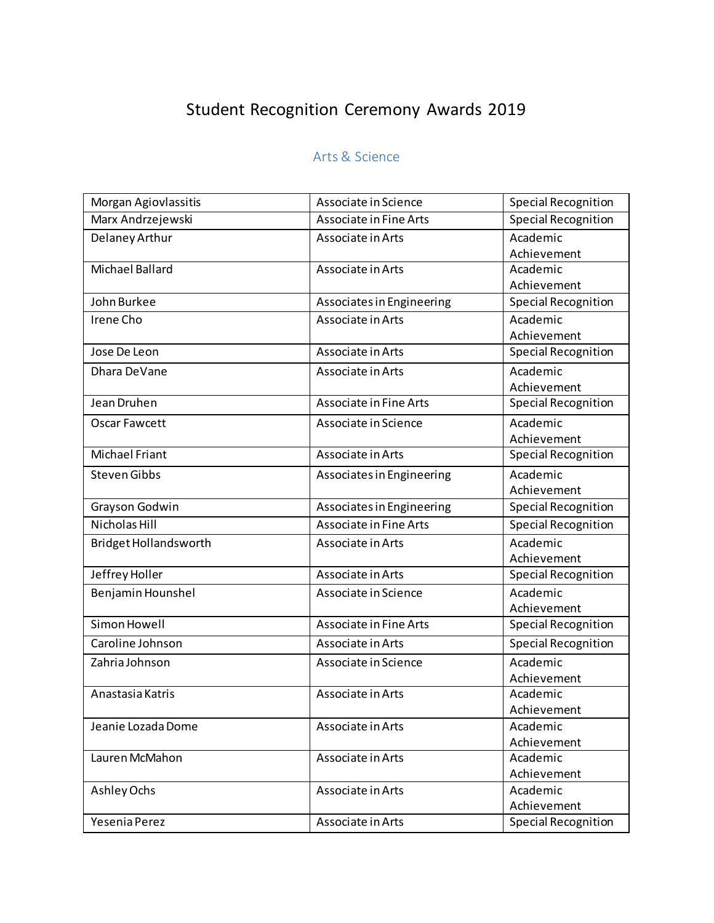# Student Recognition Ceremony Awards 2019

## Arts & Science

| Morgan Agiovlassitis  | Associate in Science      | <b>Special Recognition</b> |
|-----------------------|---------------------------|----------------------------|
| Marx Andrzejewski     | Associate in Fine Arts    | <b>Special Recognition</b> |
| Delaney Arthur        | Associate in Arts         | Academic                   |
|                       |                           | Achievement                |
| Michael Ballard       | Associate in Arts         | Academic                   |
|                       |                           | Achievement                |
| John Burkee           | Associates in Engineering | <b>Special Recognition</b> |
| Irene Cho             | Associate in Arts         | Academic                   |
|                       |                           | Achievement                |
| Jose De Leon          | Associate in Arts         | <b>Special Recognition</b> |
| Dhara DeVane          | Associate in Arts         | Academic                   |
|                       |                           | Achievement                |
| Jean Druhen           | Associate in Fine Arts    | <b>Special Recognition</b> |
| Oscar Fawcett         | Associate in Science      | Academic                   |
|                       |                           | Achievement                |
| Michael Friant        | Associate in Arts         | <b>Special Recognition</b> |
| <b>Steven Gibbs</b>   | Associates in Engineering | Academic                   |
|                       |                           | Achievement                |
| Grayson Godwin        | Associates in Engineering | Special Recognition        |
| <b>Nicholas Hill</b>  | Associate in Fine Arts    | <b>Special Recognition</b> |
| Bridget Hollandsworth | Associate in Arts         | Academic                   |
|                       |                           | Achievement                |
| Jeffrey Holler        | Associate in Arts         | <b>Special Recognition</b> |
| Benjamin Hounshel     | Associate in Science      | Academic                   |
|                       |                           | Achievement                |
| Simon Howell          | Associate in Fine Arts    | <b>Special Recognition</b> |
| Caroline Johnson      | Associate in Arts         | <b>Special Recognition</b> |
| Zahria Johnson        | Associate in Science      | Academic                   |
|                       |                           | Achievement                |
| Anastasia Katris      | Associate in Arts         | Academic                   |
|                       |                           | Achievement                |
| Jeanie Lozada Dome    | Associate in Arts         | Academic                   |
|                       |                           | Achievement                |
| Lauren McMahon        | Associate in Arts         | Academic                   |
|                       |                           | Achievement                |
| Ashley Ochs           | Associate in Arts         | Academic                   |
|                       |                           | Achievement                |
| Yesenia Perez         | Associate in Arts         | <b>Special Recognition</b> |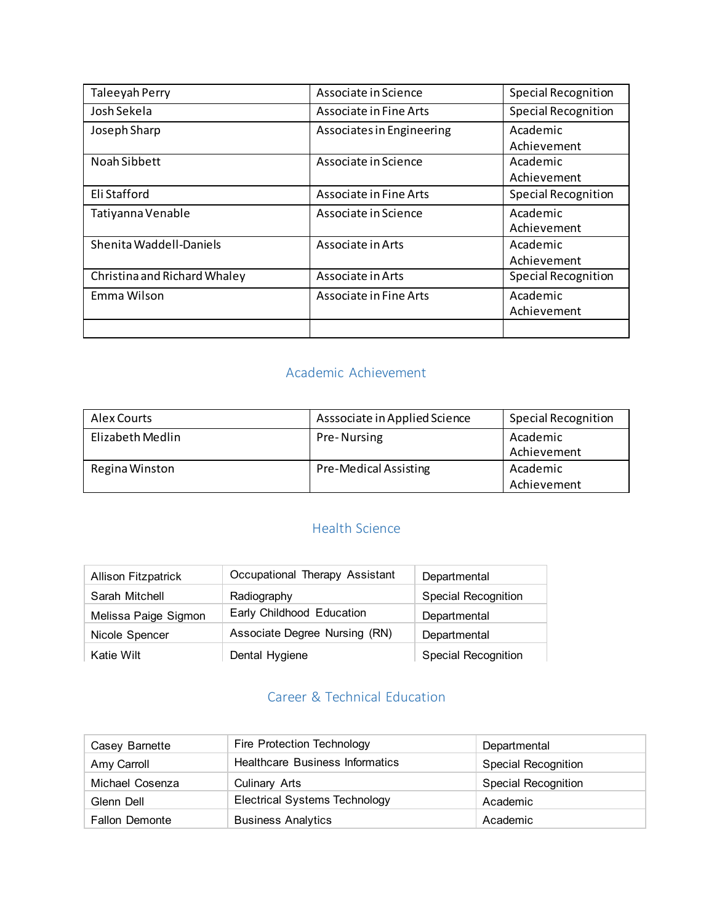| Taleeyah Perry               | Associate in Science      | Special Recognition                    |
|------------------------------|---------------------------|----------------------------------------|
| Josh Sekela                  | Associate in Fine Arts    | <b>Special Recognition</b>             |
| Joseph Sharp                 | Associates in Engineering | Academic                               |
| Noah Sibbett                 | Associate in Science      | Achievement<br>Academic<br>Achievement |
| Eli Stafford                 | Associate in Fine Arts    | Special Recognition                    |
| Tatiyanna Venable            | Associate in Science      | Academic<br>Achievement                |
| Shenita Waddell-Daniels      | Associate in Arts         | Academic<br>Achievement                |
| Christina and Richard Whaley | Associate in Arts         | <b>Special Recognition</b>             |
| Emma Wilson                  | Associate in Fine Arts    | Academic<br>Achievement                |
|                              |                           |                                        |

### Academic Achievement

| Alex Courts      | Asssociate in Applied Science | <b>Special Recognition</b> |
|------------------|-------------------------------|----------------------------|
| Elizabeth Medlin | Pre-Nursing                   | Academic<br>Achievement    |
| Regina Winston   | Pre-Medical Assisting         | Academic<br>Achievement    |

## Health Science

| <b>Allison Fitzpatrick</b> | Occupational Therapy Assistant | Departmental               |
|----------------------------|--------------------------------|----------------------------|
| Sarah Mitchell             | Radiography                    | <b>Special Recognition</b> |
| Melissa Paige Sigmon       | Early Childhood Education      | Departmental               |
| Nicole Spencer             | Associate Degree Nursing (RN)  | Departmental               |
| Katie Wilt                 | Dental Hygiene                 | <b>Special Recognition</b> |

## Career & Technical Education

| Casey Barnette        | Fire Protection Technology             | Departmental               |
|-----------------------|----------------------------------------|----------------------------|
| Amy Carroll           | <b>Healthcare Business Informatics</b> | <b>Special Recognition</b> |
| Michael Cosenza       | <b>Culinary Arts</b>                   | <b>Special Recognition</b> |
| Glenn Dell            | <b>Electrical Systems Technology</b>   | Academic                   |
| <b>Fallon Demonte</b> | <b>Business Analytics</b>              | Academic                   |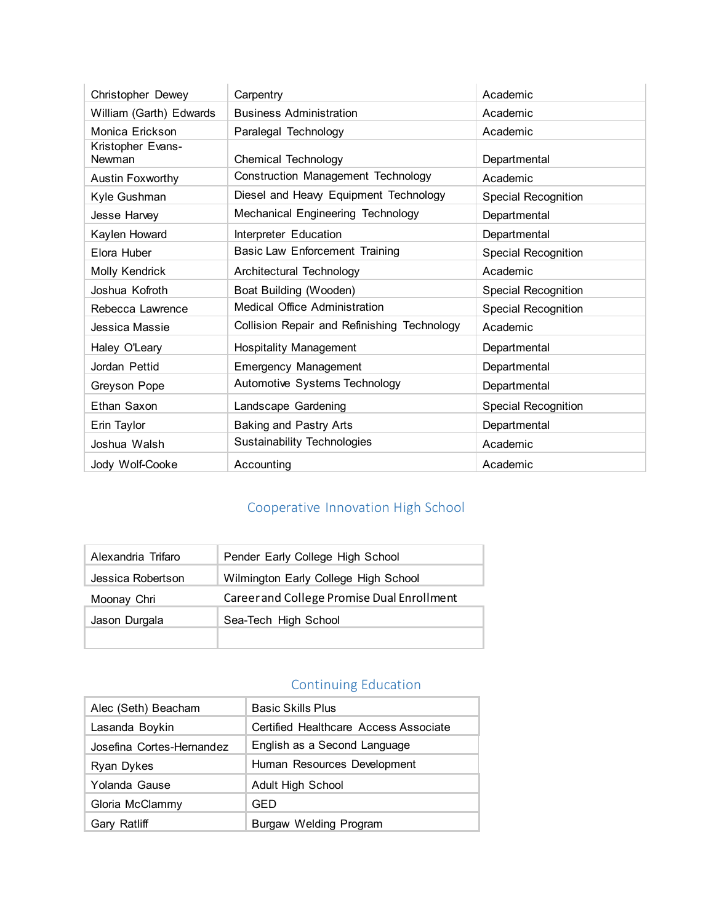| Christopher Dewey           | Carpentry                                   | Academic                   |
|-----------------------------|---------------------------------------------|----------------------------|
| William (Garth) Edwards     | <b>Business Administration</b>              | Academic                   |
| Monica Erickson             | Paralegal Technology                        | Academic                   |
| Kristopher Evans-<br>Newman | <b>Chemical Technology</b>                  | Departmental               |
| <b>Austin Foxworthy</b>     | Construction Management Technology          | Academic                   |
| Kyle Gushman                | Diesel and Heavy Equipment Technology       | <b>Special Recognition</b> |
| Jesse Harvey                | Mechanical Engineering Technology           | Departmental               |
| Kaylen Howard               | Interpreter Education                       | Departmental               |
| Elora Huber                 | <b>Basic Law Enforcement Training</b>       | <b>Special Recognition</b> |
| Molly Kendrick              | Architectural Technology                    | Academic                   |
| Joshua Kofroth              | Boat Building (Wooden)                      | <b>Special Recognition</b> |
| Rebecca Lawrence            | <b>Medical Office Administration</b>        | <b>Special Recognition</b> |
| Jessica Massie              | Collision Repair and Refinishing Technology | Academic                   |
| Haley O'Leary               | <b>Hospitality Management</b>               | Departmental               |
| Jordan Pettid               | <b>Emergency Management</b>                 | Departmental               |
| Greyson Pope                | Automotive Systems Technology               | Departmental               |
| Ethan Saxon                 | Landscape Gardening                         | <b>Special Recognition</b> |
| Erin Taylor                 | <b>Baking and Pastry Arts</b>               | Departmental               |
| Joshua Walsh                | <b>Sustainability Technologies</b>          | Academic                   |
| Jody Wolf-Cooke             | Accounting                                  | Academic                   |

# Cooperative Innovation High School

| Alexandria Trifaro | Pender Early College High School           |
|--------------------|--------------------------------------------|
| Jessica Robertson  | Wilmington Early College High School       |
| Moonay Chri        | Career and College Promise Dual Enrollment |
| Jason Durgala      | Sea-Tech High School                       |
|                    |                                            |

## Continuing Education

| Alec (Seth) Beacham       | <b>Basic Skills Plus</b>              |
|---------------------------|---------------------------------------|
| Lasanda Boykin            | Certified Healthcare Access Associate |
| Josefina Cortes-Hernandez | English as a Second Language          |
| Ryan Dykes                | Human Resources Development           |
| Yolanda Gause             | <b>Adult High School</b>              |
| Gloria McClammy           | GED                                   |
| Gary Ratliff              | <b>Burgaw Welding Program</b>         |